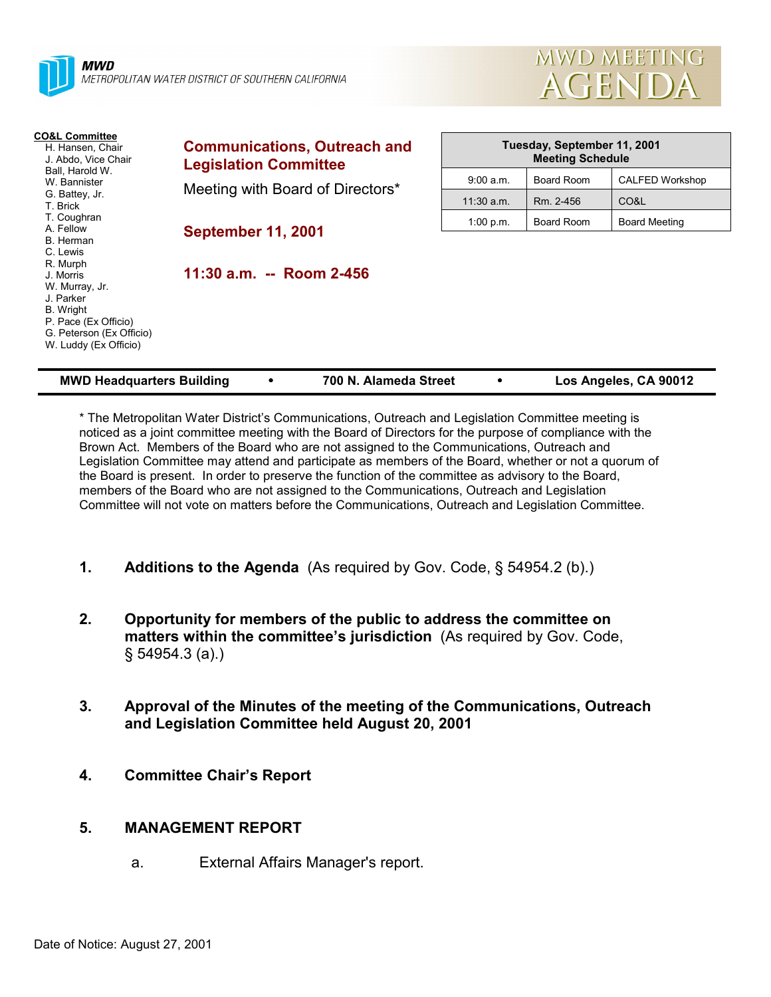



| <b>CO&amp;L Committee</b><br>H. Hansen, Chair<br>J. Abdo, Vice Chair                       | <b>Communications, Outreach and</b><br><b>Legislation Committee</b> | Tuesday, September 11, 2001<br><b>Meeting Schedule</b> |            |                      |  |
|--------------------------------------------------------------------------------------------|---------------------------------------------------------------------|--------------------------------------------------------|------------|----------------------|--|
| Ball, Harold W.<br>W. Bannister                                                            |                                                                     | 9:00 a.m.                                              | Board Room | CALFED Workshop      |  |
| G. Battey, Jr.<br>T. Brick                                                                 | Meeting with Board of Directors*                                    | $11:30$ a.m.                                           | Rm. 2-456  | CO&L                 |  |
| T. Coughran<br>A. Fellow                                                                   |                                                                     | 1:00 p.m.                                              | Board Room | <b>Board Meeting</b> |  |
| B. Herman<br>C. Lewis<br>R. Murph<br>J. Morris<br>W. Murray, Jr.<br>J. Parker<br>B. Wright | <b>September 11, 2001</b><br>11:30 a.m. -- Room 2-456               |                                                        |            |                      |  |
| P. Pace (Ex Officio)<br>G. Peterson (Ex Officio)<br>W. Luddy (Ex Officio)                  |                                                                     |                                                        |            |                      |  |

| <b>MWD Headquarters Building</b> |  | 700 N. Alameda Street |  | Los Angeles, CA 90012 |
|----------------------------------|--|-----------------------|--|-----------------------|
|----------------------------------|--|-----------------------|--|-----------------------|

\* The Metropolitan Water Districtís Communications, Outreach and Legislation Committee meeting is noticed as a joint committee meeting with the Board of Directors for the purpose of compliance with the Brown Act. Members of the Board who are not assigned to the Communications, Outreach and Legislation Committee may attend and participate as members of the Board, whether or not a quorum of the Board is present. In order to preserve the function of the committee as advisory to the Board, members of the Board who are not assigned to the Communications, Outreach and Legislation Committee will not vote on matters before the Communications, Outreach and Legislation Committee.

- **1.** Additions to the Agenda (As required by Gov. Code, § 54954.2 (b).)
- **2. Opportunity for members of the public to address the committee on** matters within the committee's jurisdiction (As required by Gov. Code, ß 54954.3 (a).)
- **3. Approval of the Minutes of the meeting of the Communications, Outreach and Legislation Committee held August 20, 2001**
- **4. Committee Chairís Report**

# **5. MANAGEMENT REPORT**

a. External Affairs Manager's report.